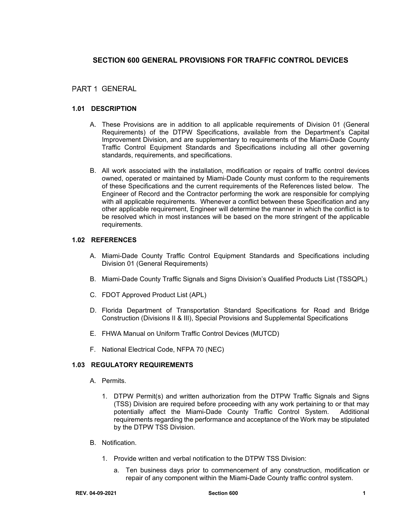# **SECTION 600 GENERAL PROVISIONS FOR TRAFFIC CONTROL DEVICES**

# PART 1 GENERAL

## **1.01 DESCRIPTION**

- A. These Provisions are in addition to all applicable requirements of Division 01 (General Requirements) of the DTPW Specifications, available from the Department's Capital Improvement Division, and are supplementary to requirements of the Miami-Dade County Traffic Control Equipment Standards and Specifications including all other governing standards, requirements, and specifications.
- B. All work associated with the installation, modification or repairs of traffic control devices owned, operated or maintained by Miami-Dade County must conform to the requirements of these Specifications and the current requirements of the References listed below. The Engineer of Record and the Contractor performing the work are responsible for complying with all applicable requirements. Whenever a conflict between these Specification and any other applicable requirement, Engineer will determine the manner in which the conflict is to be resolved which in most instances will be based on the more stringent of the applicable requirements.

#### **1.02 REFERENCES**

- A. Miami-Dade County Traffic Control Equipment Standards and Specifications including Division 01 (General Requirements)
- B. Miami-Dade County Traffic Signals and Signs Division's Qualified Products List (TSSQPL)
- C. FDOT Approved Product List (APL)
- D. Florida Department of Transportation Standard Specifications for Road and Bridge Construction (Divisions II & III), Special Provisions and Supplemental Specifications
- E. FHWA Manual on Uniform Traffic Control Devices (MUTCD)
- F. National Electrical Code, NFPA 70 (NEC)

#### **1.03 REGULATORY REQUIREMENTS**

- A. Permits.
	- 1. DTPW Permit(s) and written authorization from the DTPW Traffic Signals and Signs (TSS) Division are required before proceeding with any work pertaining to or that may potentially affect the Miami-Dade County Traffic Control System. Additional requirements regarding the performance and acceptance of the Work may be stipulated by the DTPW TSS Division.
- B. Notification.
	- 1. Provide written and verbal notification to the DTPW TSS Division:
		- a. Ten business days prior to commencement of any construction, modification or repair of any component within the Miami-Dade County traffic control system.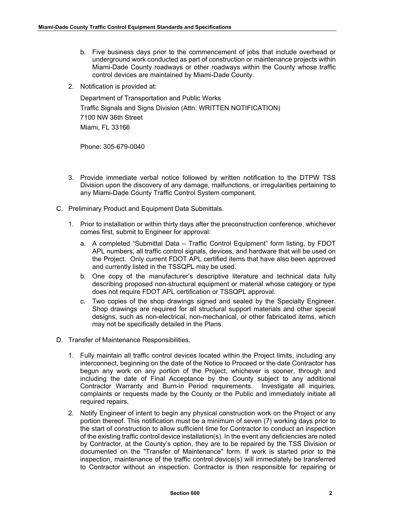- b. Five business days prior to the commencement of jobs that include overhead or underground work conducted as part of construction or maintenance projects within Miami-Dade County roadways or other roadways within the County whose traffic control devices are maintained by Miami-Dade County.
- 2. Notification is provided at:

Department of Transportation and Public Works Traffic Signals and Signs Division (Attn: WRITTEN NOTIFICATION) 7100 NW 36th Street Miami, FL 33166

Phone: 305-679-0040

- 3. Provide immediate verbal notice followed by written notification to the DTPW TSS Division upon the discovery of any damage, malfunctions, or irregularities pertaining to any Miami-Dade County Traffic Control System component.
- C. Preliminary Product and Equipment Data Submittals.
	- 1. Prior to installation or within thirty days after the preconstruction conference, whichever comes first, submit to Engineer for approval:
		- a. A completed "Submittal Data Traffic Control Equipment" form listing, by FDOT APL numbers, all traffic control signals, devices, and hardware that will be used on the Project. Only current FDOT APL certified items that have also been approved and currently listed in the TSSQPL may be used.
		- b. One copy of the manufacturer's descriptive literature and technical data fully describing proposed non-structural equipment or material whose category or type does not require FDOT APL certification or TSSQPL approval.
		- c. Two copies of the shop drawings signed and sealed by the Specialty Engineer. Shop drawings are required for all structural support materials and other special designs, such as non-electrical, non-mechanical, or other fabricated items, which may not be specifically detailed in the Plans.
- D. Transfer of Maintenance Responsibilities.
	- 1. Fully maintain all traffic control devices located within the Project limits, including any interconnect, beginning on the date of the Notice to Proceed or the date Contractor has begun any work on any portion of the Project, whichever is sooner, through and including the date of Final Acceptance by the County subject to any additional Contractor Warranty and Burn-in Period requirements. Investigate all inquiries, complaints or requests made by the County or the Public and immediately initiate all required repairs.
	- 2. Notify Engineer of intent to begin any physical construction work on the Project or any portion thereof. This notification must be a minimum of seven (7) working days prior to the start of construction to allow sufficient time for Contractor to conduct an inspection of the existing traffic control device installation(s). In the event any deficiencies are noted by Contractor, at the County's option, they are to be repaired by the TSS Division or documented on the "Transfer of Maintenance" form. If work is started prior to the inspection, maintenance of the traffic control device(s) will immediately be transferred to Contractor without an inspection. Contractor is then responsible for repairing or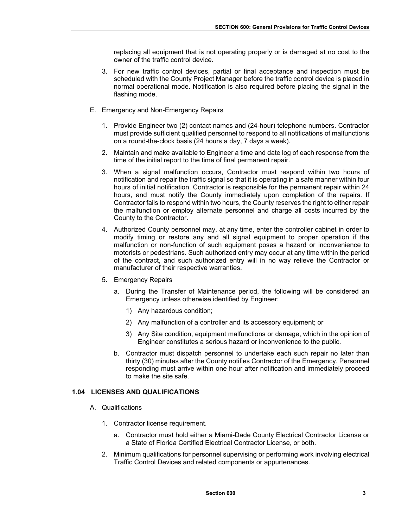replacing all equipment that is not operating properly or is damaged at no cost to the owner of the traffic control device.

- 3. For new traffic control devices, partial or final acceptance and inspection must be scheduled with the County Project Manager before the traffic control device is placed in normal operational mode. Notification is also required before placing the signal in the flashing mode.
- E. Emergency and Non-Emergency Repairs
	- 1. Provide Engineer two (2) contact names and (24-hour) telephone numbers. Contractor must provide sufficient qualified personnel to respond to all notifications of malfunctions on a round-the-clock basis (24 hours a day, 7 days a week).
	- 2. Maintain and make available to Engineer a time and date log of each response from the time of the initial report to the time of final permanent repair.
	- 3. When a signal malfunction occurs, Contractor must respond within two hours of notification and repair the traffic signal so that it is operating in a safe manner within four hours of initial notification. Contractor is responsible for the permanent repair within 24 hours, and must notify the County immediately upon completion of the repairs. If Contractor fails to respond within two hours, the County reserves the right to either repair the malfunction or employ alternate personnel and charge all costs incurred by the County to the Contractor.
	- 4. Authorized County personnel may, at any time, enter the controller cabinet in order to modify timing or restore any and all signal equipment to proper operation if the malfunction or non-function of such equipment poses a hazard or inconvenience to motorists or pedestrians. Such authorized entry may occur at any time within the period of the contract, and such authorized entry will in no way relieve the Contractor or manufacturer of their respective warranties.
	- 5. Emergency Repairs
		- a. During the Transfer of Maintenance period, the following will be considered an Emergency unless otherwise identified by Engineer:
			- 1) Any hazardous condition;
			- 2) Any malfunction of a controller and its accessory equipment; or
			- 3) Any Site condition, equipment malfunctions or damage, which in the opinion of Engineer constitutes a serious hazard or inconvenience to the public.
		- b. Contractor must dispatch personnel to undertake each such repair no later than thirty (30) minutes after the County notifies Contractor of the Emergency. Personnel responding must arrive within one hour after notification and immediately proceed to make the site safe.

## **1.04 LICENSES AND QUALIFICATIONS**

- A. Qualifications
	- 1. Contractor license requirement.
		- a. Contractor must hold either a Miami-Dade County Electrical Contractor License or a State of Florida Certified Electrical Contractor License, or both.
	- 2. Minimum qualifications for personnel supervising or performing work involving electrical Traffic Control Devices and related components or appurtenances.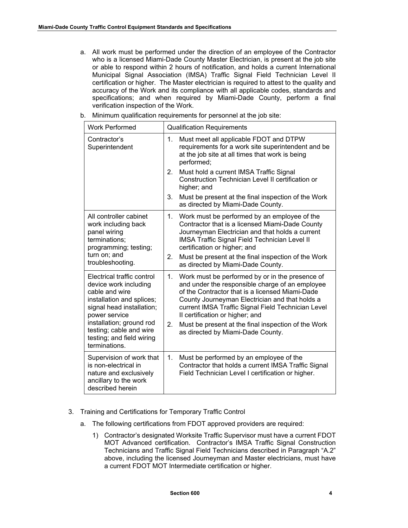a. All work must be performed under the direction of an employee of the Contractor who is a licensed Miami-Dade County Master Electrician, is present at the job site or able to respond within 2 hours of notification, and holds a current International Municipal Signal Association (IMSA) Traffic Signal Field Technician Level II certification or higher. The Master electrician is required to attest to the quality and accuracy of the Work and its compliance with all applicable codes, standards and specifications; and when required by Miami-Dade County, perform a final verification inspection of the Work.

| <b>Work Performed</b>                                                                                                                                                                                   | <b>Qualification Requirements</b>                                                                                                                                                                                                                                                                                                                                   |
|---------------------------------------------------------------------------------------------------------------------------------------------------------------------------------------------------------|---------------------------------------------------------------------------------------------------------------------------------------------------------------------------------------------------------------------------------------------------------------------------------------------------------------------------------------------------------------------|
| Contractor's<br>Superintendent                                                                                                                                                                          | Must meet all applicable FDOT and DTPW<br>1.<br>requirements for a work site superintendent and be<br>at the job site at all times that work is being<br>performed;                                                                                                                                                                                                 |
|                                                                                                                                                                                                         | Must hold a current IMSA Traffic Signal<br>2.<br>Construction Technician Level II certification or<br>higher; and                                                                                                                                                                                                                                                   |
|                                                                                                                                                                                                         | Must be present at the final inspection of the Work<br>3.<br>as directed by Miami-Dade County.                                                                                                                                                                                                                                                                      |
| All controller cabinet<br>work including back<br>panel wiring<br>terminations;<br>programming; testing;<br>turn on; and<br>troubleshooting.                                                             | Work must be performed by an employee of the<br>1.<br>Contractor that is a licensed Miami-Dade County<br>Journeyman Electrician and that holds a current<br><b>IMSA Traffic Signal Field Technician Level II</b><br>certification or higher; and                                                                                                                    |
|                                                                                                                                                                                                         | Must be present at the final inspection of the Work<br>2.<br>as directed by Miami-Dade County.                                                                                                                                                                                                                                                                      |
| Electrical traffic control<br>device work including<br>cable and wire<br>installation and splices;<br>signal head installation;<br>power service<br>installation; ground rod<br>testing; cable and wire | Work must be performed by or in the presence of<br>1.<br>and under the responsible charge of an employee<br>of the Contractor that is a licensed Miami-Dade<br>County Journeyman Electrician and that holds a<br>current IMSA Traffic Signal Field Technician Level<br>II certification or higher; and<br>2.<br>Must be present at the final inspection of the Work |
| testing; and field wiring<br>terminations.                                                                                                                                                              | as directed by Miami-Dade County.                                                                                                                                                                                                                                                                                                                                   |
| Supervision of work that<br>is non-electrical in<br>nature and exclusively<br>ancillary to the work<br>described herein                                                                                 | Must be performed by an employee of the<br>1.<br>Contractor that holds a current IMSA Traffic Signal<br>Field Technician Level I certification or higher.                                                                                                                                                                                                           |

b. Minimum qualification requirements for personnel at the job site:

- 3. Training and Certifications for Temporary Traffic Control
	- a. The following certifications from FDOT approved providers are required:
		- 1) Contractor's designated Worksite Traffic Supervisor must have a current FDOT MOT Advanced certification. Contractor's IMSA Traffic Signal Construction Technicians and Traffic Signal Field Technicians described in Paragraph "A.2" above, including the licensed Journeyman and Master electricians, must have a current FDOT MOT Intermediate certification or higher.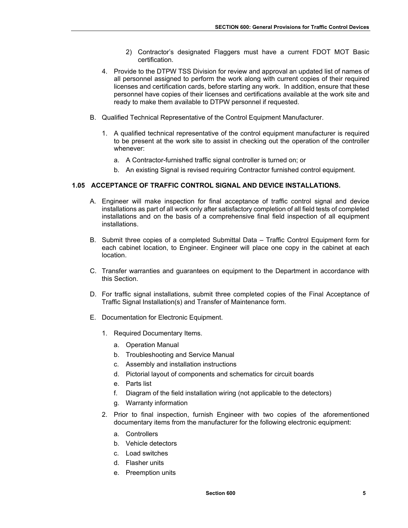- 2) Contractor's designated Flaggers must have a current FDOT MOT Basic certification.
- 4. Provide to the DTPW TSS Division for review and approval an updated list of names of all personnel assigned to perform the work along with current copies of their required licenses and certification cards, before starting any work. In addition, ensure that these personnel have copies of their licenses and certifications available at the work site and ready to make them available to DTPW personnel if requested.
- B. Qualified Technical Representative of the Control Equipment Manufacturer.
	- 1. A qualified technical representative of the control equipment manufacturer is required to be present at the work site to assist in checking out the operation of the controller whenever:
		- a. A Contractor-furnished traffic signal controller is turned on; or
		- b. An existing Signal is revised requiring Contractor furnished control equipment.

## **1.05 ACCEPTANCE OF TRAFFIC CONTROL SIGNAL AND DEVICE INSTALLATIONS.**

- A. Engineer will make inspection for final acceptance of traffic control signal and device installations as part of all work only after satisfactory completion of all field tests of completed installations and on the basis of a comprehensive final field inspection of all equipment installations.
- B. Submit three copies of a completed Submittal Data Traffic Control Equipment form for each cabinet location, to Engineer. Engineer will place one copy in the cabinet at each location.
- C. Transfer warranties and guarantees on equipment to the Department in accordance with this Section.
- D. For traffic signal installations, submit three completed copies of the Final Acceptance of Traffic Signal Installation(s) and Transfer of Maintenance form.
- E. Documentation for Electronic Equipment.
	- 1. Required Documentary Items.
		- a. Operation Manual
		- b. Troubleshooting and Service Manual
		- c. Assembly and installation instructions
		- d. Pictorial layout of components and schematics for circuit boards
		- e. Parts list
		- f. Diagram of the field installation wiring (not applicable to the detectors)
		- g. Warranty information
	- 2. Prior to final inspection, furnish Engineer with two copies of the aforementioned documentary items from the manufacturer for the following electronic equipment:
		- a. Controllers
		- b. Vehicle detectors
		- c. Load switches
		- d. Flasher units
		- e. Preemption units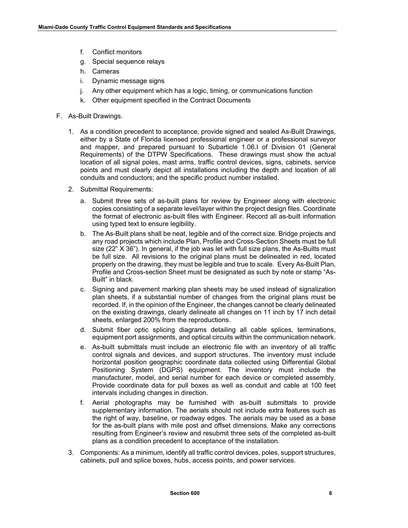- f. Conflict monitors
- g. Special sequence relays
- h. Cameras
- i. Dynamic message signs
- j. Any other equipment which has a logic, timing, or communications function
- k. Other equipment specified in the Contract Documents
- F. As-Built Drawings.
	- 1. As a condition precedent to acceptance, provide signed and sealed As-Built Drawings, either by a State of Florida licensed professional engineer or a professional surveyor and mapper, and prepared pursuant to Subarticle 1.06.I of Division 01 (General Requirements) of the DTPW Specifications. These drawings must show the actual location of all signal poles, mast arms, traffic control devices, signs, cabinets, service points and must clearly depict all installations including the depth and location of all conduits and conductors; and the specific product number installed.
	- 2. Submittal Requirements:
		- a. Submit three sets of as-built plans for review by Engineer along with electronic copies consisting of a separate level/layer within the project design files. Coordinate the format of electronic as-built files with Engineer. Record all as-built information using typed text to ensure legibility.
		- b. The As-Built plans shall be neat, legible and of the correct size. Bridge projects and any road projects which include Plan, Profile and Cross-Section Sheets must be full size (22" X 36"). In general, if the job was let with full size plans, the As-Builts must be full size. All revisions to the original plans must be delineated in red, located properly on the drawing, they must be legible and true to scale. Every As-Built Plan, Profile and Cross-section Sheet must be designated as such by note or stamp "As-Built" in black.
		- c. Signing and pavement marking plan sheets may be used instead of signalization plan sheets, if a substantial number of changes from the original plans must be recorded. If, in the opinion of the Engineer, the changes cannot be clearly delineated on the existing drawings, clearly delineate all changes on 11 inch by 17 inch detail sheets, enlarged 200% from the reproductions.
		- d. Submit fiber optic splicing diagrams detailing all cable splices, terminations, equipment port assignments, and optical circuits within the communication network.
		- e. As-built submittals must include an electronic file with an inventory of all traffic control signals and devices, and support structures. The inventory must include horizontal position geographic coordinate data collected using Differential Global Positioning System (DGPS) equipment. The inventory must include the manufacturer, model, and serial number for each device or completed assembly. Provide coordinate data for pull boxes as well as conduit and cable at 100 feet intervals including changes in direction.
		- f. Aerial photographs may be furnished with as-built submittals to provide supplementary information. The aerials should not include extra features such as the right of way, baseline, or roadway edges. The aerials may be used as a base for the as-built plans with mile post and offset dimensions. Make any corrections resulting from Engineer's review and resubmit three sets of the completed as-built plans as a condition precedent to acceptance of the installation.
	- 3. Components: As a minimum, identify all traffic control devices, poles, support structures, cabinets, pull and splice boxes, hubs, access points, and power services.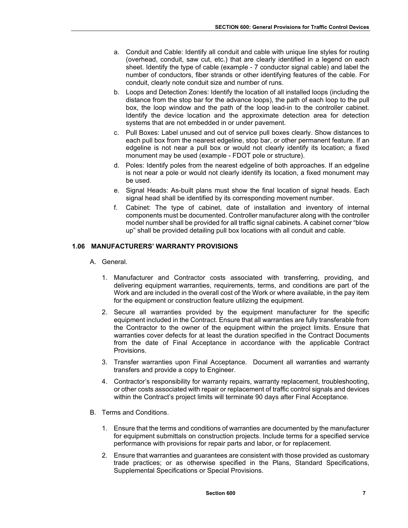- a. Conduit and Cable: Identify all conduit and cable with unique line styles for routing (overhead, conduit, saw cut, etc.) that are clearly identified in a legend on each sheet. Identify the type of cable (example - 7 conductor signal cable) and label the number of conductors, fiber strands or other identifying features of the cable. For conduit, clearly note conduit size and number of runs.
- b. Loops and Detection Zones: Identify the location of all installed loops (including the distance from the stop bar for the advance loops), the path of each loop to the pull box, the loop window and the path of the loop lead-in to the controller cabinet. Identify the device location and the approximate detection area for detection systems that are not embedded in or under pavement.
- c. Pull Boxes: Label unused and out of service pull boxes clearly. Show distances to each pull box from the nearest edgeline, stop bar, or other permanent feature. If an edgeline is not near a pull box or would not clearly identify its location; a fixed monument may be used (example - FDOT pole or structure).
- d. Poles: Identify poles from the nearest edgeline of both approaches. If an edgeline is not near a pole or would not clearly identify its location, a fixed monument may be used.
- e. Signal Heads: As-built plans must show the final location of signal heads. Each signal head shall be identified by its corresponding movement number.
- f. Cabinet: The type of cabinet, date of installation and inventory of internal components must be documented. Controller manufacturer along with the controller model number shall be provided for all traffic signal cabinets. A cabinet corner "blow up" shall be provided detailing pull box locations with all conduit and cable.

# **1.06 MANUFACTURERS' WARRANTY PROVISIONS**

- A. General.
	- 1. Manufacturer and Contractor costs associated with transferring, providing, and delivering equipment warranties, requirements, terms, and conditions are part of the Work and are included in the overall cost of the Work or where available, in the pay item for the equipment or construction feature utilizing the equipment.
	- 2. Secure all warranties provided by the equipment manufacturer for the specific equipment included in the Contract. Ensure that all warranties are fully transferable from the Contractor to the owner of the equipment within the project limits. Ensure that warranties cover defects for at least the duration specified in the Contract Documents from the date of Final Acceptance in accordance with the applicable Contract Provisions.
	- 3. Transfer warranties upon Final Acceptance. Document all warranties and warranty transfers and provide a copy to Engineer.
	- 4. Contractor's responsibility for warranty repairs, warranty replacement, troubleshooting, or other costs associated with repair or replacement of traffic control signals and devices within the Contract's project limits will terminate 90 days after Final Acceptance.
- B. Terms and Conditions.
	- 1. Ensure that the terms and conditions of warranties are documented by the manufacturer for equipment submittals on construction projects. Include terms for a specified service performance with provisions for repair parts and labor, or for replacement.
	- 2. Ensure that warranties and guarantees are consistent with those provided as customary trade practices; or as otherwise specified in the Plans, Standard Specifications, Supplemental Specifications or Special Provisions.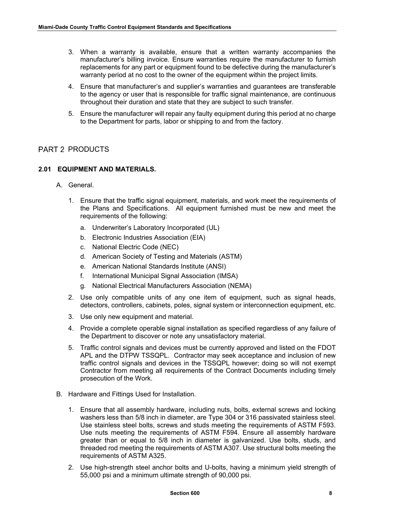- 3. When a warranty is available, ensure that a written warranty accompanies the manufacturer's billing invoice. Ensure warranties require the manufacturer to furnish replacements for any part or equipment found to be defective during the manufacturer's warranty period at no cost to the owner of the equipment within the project limits.
- 4. Ensure that manufacturer's and supplier's warranties and guarantees are transferable to the agency or user that is responsible for traffic signal maintenance, are continuous throughout their duration and state that they are subject to such transfer.
- 5. Ensure the manufacturer will repair any faulty equipment during this period at no charge to the Department for parts, labor or shipping to and from the factory.

# PART 2 PRODUCTS

## **2.01 EQUIPMENT AND MATERIALS.**

- A. General.
	- 1. Ensure that the traffic signal equipment, materials, and work meet the requirements of the Plans and Specifications. All equipment furnished must be new and meet the requirements of the following:
		- a. Underwriter's Laboratory Incorporated (UL)
		- b. Electronic Industries Association (EIA)
		- c. National Electric Code (NEC)
		- d. American Society of Testing and Materials (ASTM)
		- e. American National Standards Institute (ANSI)
		- f. International Municipal Signal Association (IMSA)
		- g. National Electrical Manufacturers Association (NEMA)
	- 2. Use only compatible units of any one item of equipment, such as signal heads, detectors, controllers, cabinets, poles, signal system or interconnection equipment, etc.
	- 3. Use only new equipment and material.
	- 4. Provide a complete operable signal installation as specified regardless of any failure of the Department to discover or note any unsatisfactory material.
	- 5. Traffic control signals and devices must be currently approved and listed on the FDOT APL and the DTPW TSSQPL. Contractor may seek acceptance and inclusion of new traffic control signals and devices in the TSSQPL however; doing so will not exempt Contractor from meeting all requirements of the Contract Documents including timely prosecution of the Work.
- B. Hardware and Fittings Used for Installation.
	- 1. Ensure that all assembly hardware, including nuts, bolts, external screws and locking washers less than 5/8 inch in diameter, are Type 304 or 316 passivated stainless steel. Use stainless steel bolts, screws and studs meeting the requirements of ASTM F593. Use nuts meeting the requirements of ASTM F594. Ensure all assembly hardware greater than or equal to 5/8 inch in diameter is galvanized. Use bolts, studs, and threaded rod meeting the requirements of ASTM A307. Use structural bolts meeting the requirements of ASTM A325.
	- 2. Use high-strength steel anchor bolts and U-bolts, having a minimum yield strength of 55,000 psi and a minimum ultimate strength of 90,000 psi.